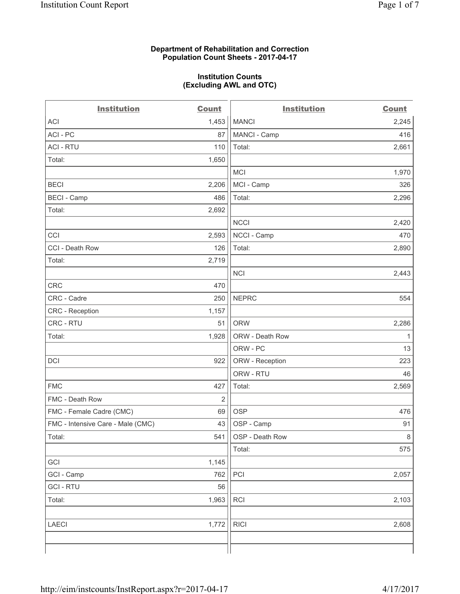#### **Department of Rehabilitation and Correction Population Count Sheets - 2017-04-17**

#### **Institution Counts (Excluding AWL and OTC)**

| <b>Institution</b>                | <b>Count</b>   | <b>Institution</b> | <b>Count</b> |
|-----------------------------------|----------------|--------------------|--------------|
| <b>ACI</b>                        | 1,453          | <b>MANCI</b>       | 2,245        |
| ACI - PC                          | 87             | MANCI - Camp       | 416          |
| <b>ACI - RTU</b>                  | 110            | Total:             | 2,661        |
| Total:                            | 1,650          |                    |              |
|                                   |                | <b>MCI</b>         | 1,970        |
| <b>BECI</b>                       | 2,206          | MCI - Camp         | 326          |
| <b>BECI</b> - Camp                | 486            | Total:             | 2,296        |
| Total:                            | 2,692          |                    |              |
|                                   |                | <b>NCCI</b>        | 2,420        |
| CCI                               | 2,593          | NCCI - Camp        | 470          |
| CCI - Death Row                   | 126            | Total:             | 2,890        |
| Total:                            | 2,719          |                    |              |
|                                   |                | <b>NCI</b>         | 2,443        |
| CRC                               | 470            |                    |              |
| CRC - Cadre                       | 250            | <b>NEPRC</b>       | 554          |
| <b>CRC</b> - Reception            | 1,157          |                    |              |
| CRC - RTU                         | 51             | <b>ORW</b>         | 2,286        |
| Total:                            | 1,928          | ORW - Death Row    | $\mathbf{1}$ |
|                                   |                | ORW - PC           | 13           |
| DCI                               | 922            | ORW - Reception    | 223          |
|                                   |                | ORW - RTU          | 46           |
| <b>FMC</b>                        | 427            | Total:             | 2,569        |
| FMC - Death Row                   | $\overline{2}$ |                    |              |
| FMC - Female Cadre (CMC)          | 69             | <b>OSP</b>         | 476          |
| FMC - Intensive Care - Male (CMC) | 43             | OSP - Camp         | 91           |
| Total:                            | 541            | OSP - Death Row    | 8            |
|                                   |                | Total:             | 575          |
| GCI                               | 1,145          |                    |              |
| GCI - Camp                        | 762            | PCI                | 2,057        |
| <b>GCI - RTU</b>                  | 56             |                    |              |
| Total:                            | 1,963          | <b>RCI</b>         | 2,103        |
| <b>LAECI</b>                      | 1,772          | <b>RICI</b>        | 2,608        |
|                                   |                |                    |              |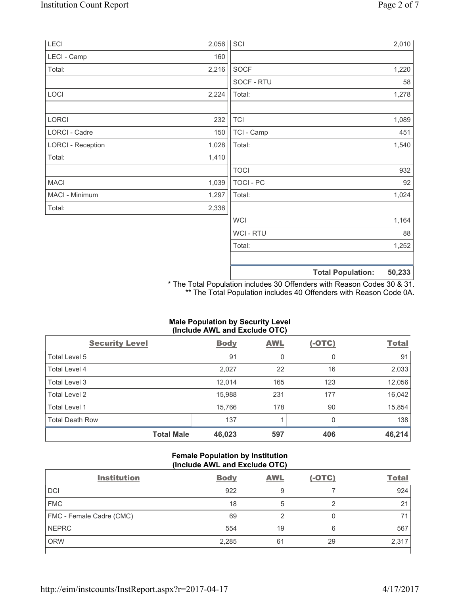| LECI                     | $2,056$ SCI |                |                          | 2,010  |
|--------------------------|-------------|----------------|--------------------------|--------|
| LECI - Camp              | 160         |                |                          |        |
| Total:                   | 2,216       | SOCF           |                          | 1,220  |
|                          |             | SOCF - RTU     |                          | 58     |
| LOCI                     | 2,224       | Total:         |                          | 1,278  |
| LORCI                    | 232         | <b>TCI</b>     |                          | 1,089  |
| LORCI - Cadre            | 150         | TCI - Camp     |                          | 451    |
| <b>LORCI - Reception</b> | 1,028       | Total:         |                          | 1,540  |
| Total:                   | 1,410       |                |                          |        |
|                          |             | <b>TOCI</b>    |                          | 932    |
| <b>MACI</b>              | 1,039       | TOCI - PC      |                          | 92     |
| MACI - Minimum           | 1,297       | Total:         |                          | 1,024  |
| Total:                   | 2,336       |                |                          |        |
|                          |             | <b>WCI</b>     |                          | 1,164  |
|                          |             | <b>WCI-RTU</b> |                          | 88     |
|                          |             | Total:         |                          | 1,252  |
|                          |             |                |                          |        |
|                          |             |                | <b>Total Population:</b> | 50,233 |

\* The Total Population includes 30 Offenders with Reason Codes 30 & 31. \*\* The Total Population includes 40 Offenders with Reason Code 0A.

## **Male Population by Security Level (Include AWL and Exclude OTC)**

| $\cdot$<br><b>Security Level</b> | <b>Body</b> | . .<br><b>AWL</b> | $(-OTC)$ | <b>Total</b> |
|----------------------------------|-------------|-------------------|----------|--------------|
| Total Level 5                    | 91          | 0                 | 0        | 91           |
| Total Level 4                    | 2,027       | 22                | 16       | 2,033        |
| Total Level 3                    | 12,014      | 165               | 123      | 12,056       |
| Total Level 2                    | 15,988      | 231               | 177      | 16,042       |
| Total Level 1                    | 15,766      | 178               | 90       | 15,854       |
| <b>Total Death Row</b>           | 137         |                   | O        | 138          |
| <b>Total Male</b>                | 46,023      | 597               | 406      | 46,214       |

## **Female Population by Institution (Include AWL and Exclude OTC)**

| <b>Institution</b>       | <b>Body</b> | <b>AWL</b> | $(-OTC)$ | <b>Total</b> |
|--------------------------|-------------|------------|----------|--------------|
| <b>DCI</b>               | 922         | 9          |          | 924          |
| <b>FMC</b>               | 18          | 5          |          | 21           |
| FMC - Female Cadre (CMC) | 69          | ◠          |          | 71           |
| <b>NEPRC</b>             | 554         | 19         | 6        | 567          |
| <b>ORW</b>               | 2,285       | 61         | 29       | 2,317        |
|                          |             |            |          |              |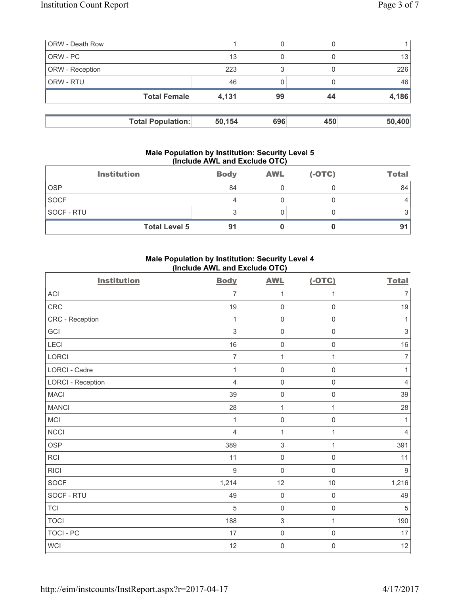| <b>ORW</b> - Death Row |                          |        | 0   |     |        |
|------------------------|--------------------------|--------|-----|-----|--------|
| ORW - PC               |                          | 13     | 0   |     | 13     |
| <b>ORW</b> - Reception |                          | 223    | 3   |     | 226    |
| <b>ORW - RTU</b>       |                          | 46     |     |     | 46     |
|                        | <b>Total Female</b>      | 4,131  | 99  | 44  | 4,186  |
|                        |                          |        |     |     |        |
|                        | <b>Total Population:</b> | 50,154 | 696 | 450 | 50,400 |

#### **Male Population by Institution: Security Level 5 (Include AWL and Exclude OTC)**

| <b>Institution</b>   | <b>Body</b> | <b>AWL</b> | $(-OTC)$ | <b>Total</b> |
|----------------------|-------------|------------|----------|--------------|
| <b>OSP</b>           | 84          |            |          | 84           |
| <b>SOCF</b>          | 4           |            |          |              |
| SOCF - RTU           | ◠<br>◡      |            |          |              |
| <b>Total Level 5</b> | 91          |            |          |              |

# **Male Population by Institution: Security Level 4 (Include AWL and Exclude OTC)**

| <b>Institution</b>       | <b>Body</b>    | <b>AWL</b>          | $(-OTC)$            | <b>Total</b>              |
|--------------------------|----------------|---------------------|---------------------|---------------------------|
| <b>ACI</b>               | $\overline{7}$ | 1                   | 1                   | $\overline{7}$            |
| CRC                      | 19             | 0                   | $\mathsf{O}\xspace$ | 19                        |
| CRC - Reception          | 1              | $\mathsf{O}\xspace$ | $\mathsf 0$         | 1                         |
| GCI                      | $\mathfrak{S}$ | $\mathsf{O}\xspace$ | $\mathsf{O}\xspace$ | $\ensuremath{\mathsf{3}}$ |
| LECI                     | 16             | $\mathsf{O}\xspace$ | $\mathsf{O}\xspace$ | $16\,$                    |
| <b>LORCI</b>             | $\overline{7}$ | $\mathbf{1}$        | $\mathbf{1}$        | $\overline{7}$            |
| LORCI - Cadre            | $\mathbf 1$    | $\mathsf{O}\xspace$ | $\mathsf 0$         | 1                         |
| <b>LORCI - Reception</b> | $\overline{4}$ | $\mathsf{O}\xspace$ | $\mathsf{O}\xspace$ | $\overline{4}$            |
| <b>MACI</b>              | 39             | $\mathsf{O}\xspace$ | $\mathsf{O}\xspace$ | 39                        |
| <b>MANCI</b>             | 28             | $\mathbf 1$         | 1                   | 28                        |
| <b>MCI</b>               | 1              | $\mathsf{O}\xspace$ | $\mathsf{O}\xspace$ | 1                         |
| <b>NCCI</b>              | $\overline{4}$ | $\mathbf{1}$        | $\mathbf{1}$        | 4                         |
| <b>OSP</b>               | 389            | $\mathsf 3$         | $\mathbf{1}$        | 391                       |
| <b>RCI</b>               | 11             | $\mathsf{O}\xspace$ | $\mathsf{O}\xspace$ | 11                        |
| <b>RICI</b>              | $\overline{9}$ | $\mathsf{O}\xspace$ | $\mathbf 0$         | $\mathsf g$               |
| <b>SOCF</b>              | 1,214          | 12                  | 10                  | 1,216                     |
| SOCF - RTU               | 49             | $\mathsf{O}\xspace$ | $\mathsf 0$         | 49                        |
| <b>TCI</b>               | 5              | $\mathsf{O}\xspace$ | $\mathsf 0$         | 5                         |
| <b>TOCI</b>              | 188            | $\mathfrak{S}$      | $\mathbf{1}$        | 190                       |
| <b>TOCI - PC</b>         | 17             | $\mathsf{O}\xspace$ | $\mathsf{O}\xspace$ | 17                        |
| WCI                      | 12             | $\mathsf{O}\xspace$ | $\mathbf 0$         | 12                        |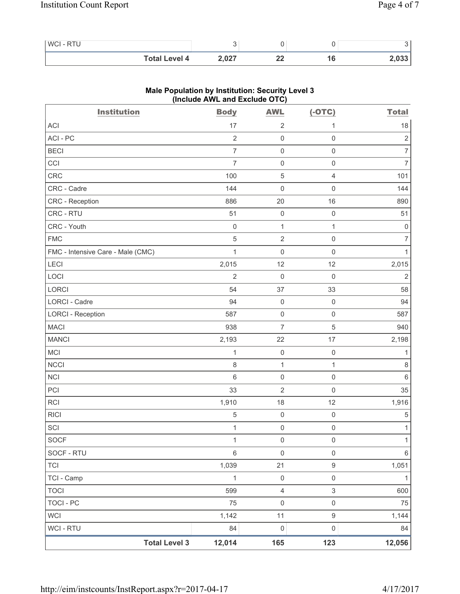| <b>WCI-RTU</b>       |       |          |        |
|----------------------|-------|----------|--------|
| <b>Total Level 4</b> | 2,027 | n,<br>-- | 2,033' |

| <b>Institution</b>                | $($ moludo Arra and Exclude OTO $)$<br><b>Body</b> | <b>AWL</b>          | $(-OTC)$            | <b>Total</b>        |
|-----------------------------------|----------------------------------------------------|---------------------|---------------------|---------------------|
| ACI                               | 17                                                 | $\overline{2}$      | 1                   | 18                  |
| ACI-PC                            | $\overline{2}$                                     | $\mathsf 0$         | $\mathsf{O}\xspace$ | $\sqrt{2}$          |
| <b>BECI</b>                       | $\overline{7}$                                     | $\mathsf 0$         | $\mathsf{O}\xspace$ | $\overline{7}$      |
| CCI                               | $\overline{7}$                                     | $\mathsf 0$         | $\mathsf{O}\xspace$ | $\boldsymbol{7}$    |
| CRC                               | 100                                                | $\sqrt{5}$          | 4                   | 101                 |
| CRC - Cadre                       | 144                                                | $\mathbf 0$         | $\mathsf{O}\xspace$ | 144                 |
| CRC - Reception                   | 886                                                | 20                  | 16                  | 890                 |
| CRC - RTU                         | 51                                                 | $\mathsf 0$         | $\mathsf{O}\xspace$ | 51                  |
| CRC - Youth                       | $\mathbf 0$                                        | $\mathbf{1}$        | $\mathbf{1}$        | $\mathsf{O}\xspace$ |
| <b>FMC</b>                        | $\sqrt{5}$                                         | $\mathbf 2$         | $\mathsf{O}\xspace$ | $\overline{7}$      |
| FMC - Intensive Care - Male (CMC) | $\mathbf{1}$                                       | $\mathbf 0$         | $\mathsf 0$         | $\mathbf{1}$        |
| LECI                              | 2,015                                              | 12                  | 12                  | 2,015               |
| LOCI                              | $\overline{2}$                                     | $\mathbf 0$         | $\mathsf{O}\xspace$ | $\overline{2}$      |
| LORCI                             | 54                                                 | 37                  | 33                  | 58                  |
| LORCI - Cadre                     | 94                                                 | $\mathsf 0$         | $\mathsf 0$         | 94                  |
| <b>LORCI - Reception</b>          | 587                                                | $\mathsf{O}\xspace$ | $\mathsf{O}\xspace$ | 587                 |
| <b>MACI</b>                       | 938                                                | $\overline{7}$      | 5                   | 940                 |
| <b>MANCI</b>                      | 2,193                                              | 22                  | 17                  | 2,198               |
| MCI                               | $\mathbf{1}$                                       | $\mathsf 0$         | $\mathsf{O}\xspace$ | 1                   |
| <b>NCCI</b>                       | 8                                                  | $\mathbf{1}$        | $\mathbf{1}$        | $\,8\,$             |
| <b>NCI</b>                        | $\,6\,$                                            | $\mathsf 0$         | $\mathsf{O}\xspace$ | $\,6\,$             |
| PCI                               | 33                                                 | $\overline{2}$      | $\mathsf{O}\xspace$ | 35                  |
| <b>RCI</b>                        | 1,910                                              | 18                  | 12                  | 1,916               |
| <b>RICI</b>                       | 5                                                  | $\mathsf 0$         | $\mathsf{O}\xspace$ | $\sqrt{5}$          |
| SCI                               | $\mathbf{1}$                                       | $\mathsf 0$         | $\mathsf 0$         | $\mathbf{1}$        |
| <b>SOCF</b>                       | $\mathbf 1$                                        | $\mathsf 0$         | $\mathsf{O}\xspace$ | 1                   |
| SOCF - RTU                        | $6\,$                                              | $\mathsf 0$         | $\mathsf{O}\xspace$ | 6                   |
| <b>TCI</b>                        | 1,039                                              | 21                  | 9                   | 1,051               |
| TCI - Camp                        | $\mathbf{1}$                                       | $\mathsf{O}\xspace$ | $\mathsf{O}\xspace$ | $\mathbf{1}$        |
| <b>TOCI</b>                       | 599                                                | $\overline{4}$      | 3                   | 600                 |
| <b>TOCI - PC</b>                  | 75                                                 | $\mathsf{O}\xspace$ | $\mathsf{O}\xspace$ | 75                  |
| <b>WCI</b>                        | 1,142                                              | 11                  | $\mathsf g$         | 1,144               |
| WCI - RTU                         | 84                                                 | $\mathsf 0$         | $\mathsf{O}\xspace$ | 84                  |
| <b>Total Level 3</b>              | 12,014                                             | 165                 | 123                 | 12,056              |

# **Male Population by Institution: Security Level 3 (Include AWL and Exclude OTC)**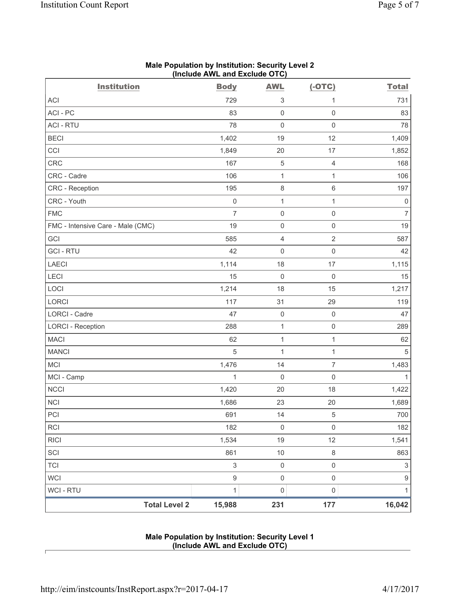| <b>Institution</b>                | <b>Body</b>               | <b>AWL</b>          | $(-OTC)$            | <b>Total</b>   |
|-----------------------------------|---------------------------|---------------------|---------------------|----------------|
| <b>ACI</b>                        | 729                       | 3                   | 1                   | 731            |
| ACI-PC                            | 83                        | 0                   | $\mathbf 0$         | 83             |
| <b>ACI - RTU</b>                  | 78                        | $\mathsf{O}\xspace$ | $\mathsf{O}\xspace$ | 78             |
| <b>BECI</b>                       | 1,402                     | 19                  | 12                  | 1,409          |
| CCI                               | 1,849                     | 20                  | 17                  | 1,852          |
| CRC                               | 167                       | 5                   | $\overline{4}$      | 168            |
| CRC - Cadre                       | 106                       | $\mathbf{1}$        | $\mathbf{1}$        | 106            |
| CRC - Reception                   | 195                       | $\,8\,$             | $\,6\,$             | 197            |
| CRC - Youth                       | $\mathsf 0$               | $\mathbf{1}$        | $\mathbf{1}$        | 0              |
| <b>FMC</b>                        | $\overline{7}$            | $\mathsf{O}\xspace$ | $\mathsf 0$         | $\overline{7}$ |
| FMC - Intensive Care - Male (CMC) | 19                        | $\mathsf{O}\xspace$ | $\mathsf{O}\xspace$ | 19             |
| GCI                               | 585                       | 4                   | $\overline{2}$      | 587            |
| <b>GCI-RTU</b>                    | 42                        | $\mathsf{O}\xspace$ | $\mathsf 0$         | 42             |
| <b>LAECI</b>                      | 1,114                     | 18                  | 17                  | 1,115          |
| LECI                              | 15                        | $\mathsf{O}\xspace$ | $\mathsf{O}\xspace$ | 15             |
| LOCI                              | 1,214                     | 18                  | 15                  | 1,217          |
| <b>LORCI</b>                      | 117                       | 31                  | 29                  | 119            |
| LORCI - Cadre                     | 47                        | $\mathsf{O}\xspace$ | $\mathsf{O}\xspace$ | 47             |
| <b>LORCI - Reception</b>          | 288                       | $\mathbf{1}$        | $\mathsf{O}\xspace$ | 289            |
| <b>MACI</b>                       | 62                        | $\mathbf{1}$        | $\mathbf{1}$        | 62             |
| <b>MANCI</b>                      | 5                         | $\mathbf{1}$        | $\mathbf{1}$        | 5              |
| MCI                               | 1,476                     | 14                  | $\overline{7}$      | 1,483          |
| MCI - Camp                        | $\mathbf{1}$              | $\mathsf{O}\xspace$ | $\mathsf{O}\xspace$ | 1              |
| <b>NCCI</b>                       | 1,420                     | 20                  | 18                  | 1,422          |
| <b>NCI</b>                        | 1,686                     | 23                  | 20                  | 1,689          |
| PCI                               | 691                       | 14                  | 5                   | 700            |
| RCI                               | 182                       | $\mathsf{O}\xspace$ | $\mathsf 0$         | 182            |
| <b>RICI</b>                       | 1,534                     | 19                  | 12                  | 1,541          |
| SCI                               | 861                       | 10                  | $\,8\,$             | 863            |
| <b>TCI</b>                        | $\ensuremath{\mathsf{3}}$ | $\mathsf{O}\xspace$ | $\mathsf{O}\xspace$ | $\,$ 3 $\,$    |
| <b>WCI</b>                        | $\hbox{9}$                | $\mathsf{O}\xspace$ | $\mathsf{O}\xspace$ | 9              |
| WCI - RTU                         | 1                         | $\mathsf{O}\xspace$ | $\mathsf{O}\xspace$ | 1              |
| <b>Total Level 2</b>              | 15,988                    | 231                 | 177                 | 16,042         |

#### **Male Population by Institution: Security Level 2 (Include AWL and Exclude OTC)**

## **Male Population by Institution: Security Level 1 (Include AWL and Exclude OTC)**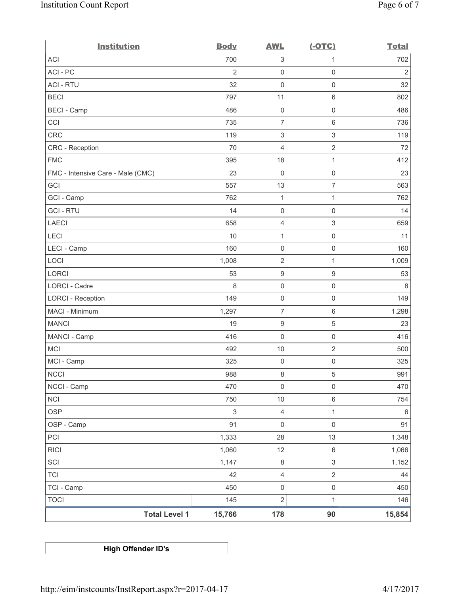| <b>Institution</b>                | <b>Body</b>    | <b>AWL</b>                | $(-OTC)$            | <b>Total</b>   |
|-----------------------------------|----------------|---------------------------|---------------------|----------------|
| <b>ACI</b>                        | 700            | 3                         | 1                   | 702            |
| ACI - PC                          | $\overline{2}$ | $\mathsf 0$               | $\mathsf 0$         | $\overline{2}$ |
| <b>ACI - RTU</b>                  | 32             | $\mathsf 0$               | $\mathsf 0$         | 32             |
| <b>BECI</b>                       | 797            | 11                        | $6\,$               | 802            |
| <b>BECI</b> - Camp                | 486            | $\mathsf{O}\xspace$       | $\mathsf{O}\xspace$ | 486            |
| CCI                               | 735            | $\overline{7}$            | $\,6\,$             | 736            |
| <b>CRC</b>                        | 119            | $\ensuremath{\mathsf{3}}$ | $\sqrt{3}$          | 119            |
| <b>CRC</b> - Reception            | 70             | 4                         | $\sqrt{2}$          | 72             |
| <b>FMC</b>                        | 395            | 18                        | 1                   | 412            |
| FMC - Intensive Care - Male (CMC) | 23             | $\mathbf 0$               | $\mathsf{O}\xspace$ | 23             |
| GCI                               | 557            | 13                        | $\overline{7}$      | 563            |
| GCI - Camp                        | 762            | $\mathbf{1}$              | 1                   | 762            |
| <b>GCI-RTU</b>                    | 14             | $\mathsf 0$               | $\mathsf 0$         | 14             |
| <b>LAECI</b>                      | 658            | 4                         | $\mathfrak{S}$      | 659            |
| LECI                              | 10             | 1                         | $\mathsf{O}\xspace$ | 11             |
| LECI - Camp                       | 160            | $\mathsf{O}\xspace$       | $\mathsf 0$         | 160            |
| LOCI                              | 1,008          | $\sqrt{2}$                | $\mathbf{1}$        | 1,009          |
| <b>LORCI</b>                      | 53             | $\boldsymbol{9}$          | $\boldsymbol{9}$    | 53             |
| <b>LORCI - Cadre</b>              | 8              | 0                         | $\mathsf 0$         | $\,8\,$        |
| <b>LORCI - Reception</b>          | 149            | $\mathsf 0$               | $\mathsf 0$         | 149            |
| MACI - Minimum                    | 1,297          | $\overline{7}$            | $\,6\,$             | 1,298          |
| <b>MANCI</b>                      | 19             | $\boldsymbol{9}$          | $\,$ 5 $\,$         | 23             |
| MANCI - Camp                      | 416            | $\mathsf 0$               | $\mathsf{O}\xspace$ | 416            |
| <b>MCI</b>                        | 492            | 10                        | $\overline{2}$      | 500            |
| MCI - Camp                        | 325            | $\mathsf{O}\xspace$       | $\mathsf 0$         | 325            |
| <b>NCCI</b>                       | 988            | 8                         | $\,$ 5 $\,$         | 991            |
| NCCI - Camp                       | 470            | $\mathsf{O}\xspace$       | $\mathsf{O}\xspace$ | 470            |
| <b>NCI</b>                        | 750            | $10$                      | $\,6\,$             | 754            |
| <b>OSP</b>                        | $\mathfrak{S}$ | $\overline{4}$            | $\mathbf{1}$        | $6\,$          |
| OSP - Camp                        | 91             | $\mathsf{O}\xspace$       | $\mathsf 0$         | 91             |
| PCI                               | 1,333          | 28                        | 13                  | 1,348          |
| <b>RICI</b>                       | 1,060          | 12                        | $\,6\,$             | 1,066          |
| SCI                               | 1,147          | $\,8\,$                   | $\mathfrak{S}$      | 1,152          |
| <b>TCI</b>                        | 42             | 4                         | $\overline{2}$      | 44             |
| TCI - Camp                        | 450            | $\mathsf{O}\xspace$       | $\mathsf{O}\xspace$ | 450            |
| <b>TOCI</b>                       | 145            | $\overline{c}$            | 1                   | 146            |
| <b>Total Level 1</b>              | 15,766         | 178                       | 90                  | 15,854         |

**High Offender ID's**